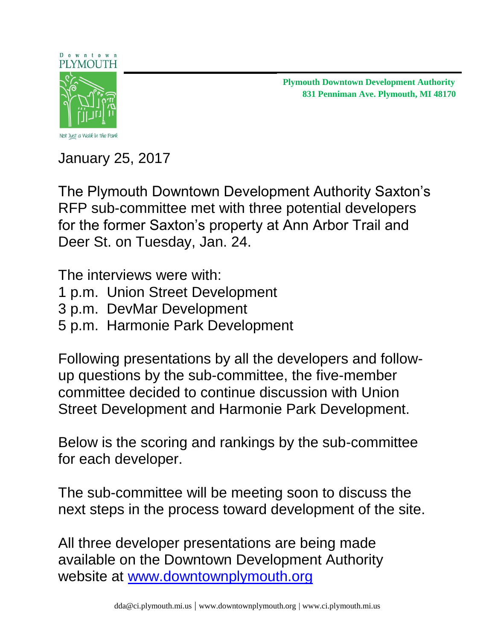#### Downtown PLYMOUTH



**831 Penniman Ave. Plymouth, MI 48170 Plymouth Downtown Development Authority** 

Not Just a Walk in the Park

January 25, 2017

The Plymouth Downtown Development Authority Saxton's RFP sub-committee met with three potential developers for the former Saxton's property at Ann Arbor Trail and Deer St. on Tuesday, Jan. 24.

The interviews were with:

- 1 p.m. Union Street Development
- 3 p.m. DevMar Development
- 5 p.m. Harmonie Park Development

Following presentations by all the developers and followup questions by the sub-committee, the five-member committee decided to continue discussion with Union Street Development and Harmonie Park Development.

Below is the scoring and rankings by the sub-committee for each developer.

The sub-committee will be meeting soon to discuss the next steps in the process toward development of the site.

All three developer presentations are being made available on the Downtown Development Authority website at [www.downtownplymouth.org](http://www.downtownplymouth.org/)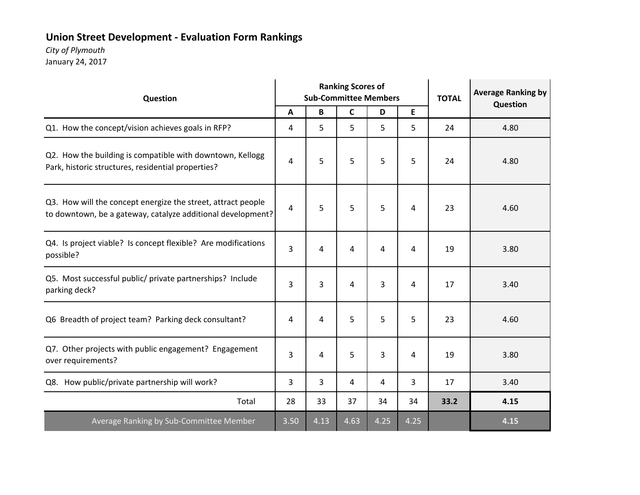# **Union Street Development ‐ Evaluation Form Rankings**

### *City of Plymouth*

| Question                                                                                                                    |              |      | <b>Ranking Scores of</b><br><b>Sub-Committee Members</b> |      |      |      | <b>Average Ranking by</b><br>Question |
|-----------------------------------------------------------------------------------------------------------------------------|--------------|------|----------------------------------------------------------|------|------|------|---------------------------------------|
|                                                                                                                             | $\mathbf{A}$ | B    | $\mathsf{C}$                                             | D    | E    |      |                                       |
| Q1. How the concept/vision achieves goals in RFP?                                                                           | 4            | 5    | 5                                                        | 5    | 5    | 24   | 4.80                                  |
| Q2. How the building is compatible with downtown, Kellogg<br>Park, historic structures, residential properties?             | 4            | 5    | 5                                                        | 5    | 5    | 24   | 4.80                                  |
| Q3. How will the concept energize the street, attract people<br>to downtown, be a gateway, catalyze additional development? | 4            | 5    | 5                                                        | 5    | 4    | 23   | 4.60                                  |
| Q4. Is project viable? Is concept flexible? Are modifications<br>possible?                                                  | 3            | 4    | 4                                                        | 4    | 4    | 19   | 3.80                                  |
| Q5. Most successful public/ private partnerships? Include<br>parking deck?                                                  | 3            | 3    | 4                                                        | 3    | 4    | 17   | 3.40                                  |
| Q6 Breadth of project team? Parking deck consultant?                                                                        | 4            | 4    | 5                                                        | 5    | 5    | 23   | 4.60                                  |
| Q7. Other projects with public engagement? Engagement<br>over requirements?                                                 | 3            | 4    | 5                                                        | 3    | 4    | 19   | 3.80                                  |
| Q8. How public/private partnership will work?                                                                               | 3            | 3    | 4                                                        | 4    | 3    | 17   | 3.40                                  |
| Total                                                                                                                       | 28           | 33   | 37                                                       | 34   | 34   | 33.2 | 4.15                                  |
| Average Ranking by Sub-Committee Member                                                                                     | 3.50         | 4.13 | 4.63                                                     | 4.25 | 4.25 |      | 4.15                                  |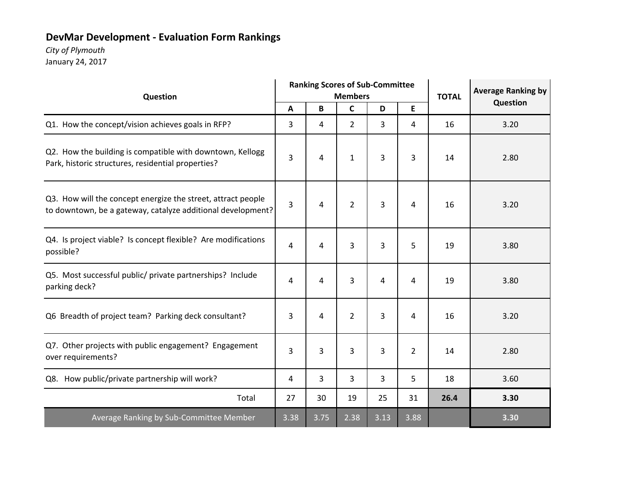# **DevMar Development ‐ Evaluation Form Rankings**

# *City of Plymouth*

| Question                                                                                                                    | <b>Ranking Scores of Sub-Committee</b><br><b>Members</b> |      |                |                |                | <b>TOTAL</b> | <b>Average Ranking by</b> |
|-----------------------------------------------------------------------------------------------------------------------------|----------------------------------------------------------|------|----------------|----------------|----------------|--------------|---------------------------|
|                                                                                                                             | A                                                        | В    | $\mathsf{C}$   | D              | E              |              | Question                  |
| Q1. How the concept/vision achieves goals in RFP?                                                                           | 3                                                        | 4    | $\overline{2}$ | 3              | 4              | 16           | 3.20                      |
| Q2. How the building is compatible with downtown, Kellogg<br>Park, historic structures, residential properties?             | 3                                                        | 4    | $\mathbf{1}$   | 3              | 3              | 14           | 2.80                      |
| Q3. How will the concept energize the street, attract people<br>to downtown, be a gateway, catalyze additional development? | 3                                                        | 4    | $\overline{2}$ | 3              | 4              | 16           | 3.20                      |
| Q4. Is project viable? Is concept flexible? Are modifications<br>possible?                                                  | 4                                                        | 4    | 3              | 3              | 5              | 19           | 3.80                      |
| Q5. Most successful public/ private partnerships? Include<br>parking deck?                                                  | 4                                                        | 4    | 3              | 4              | 4              | 19           | 3.80                      |
| Q6 Breadth of project team? Parking deck consultant?                                                                        | 3                                                        | 4    | $\overline{2}$ | $\overline{3}$ | 4              | 16           | 3.20                      |
| Q7. Other projects with public engagement? Engagement<br>over requirements?                                                 | 3                                                        | 3    | 3              | 3              | $\overline{2}$ | 14           | 2.80                      |
| Q8. How public/private partnership will work?                                                                               | 4                                                        | 3    | 3              | 3              | 5              | 18           | 3.60                      |
| Total                                                                                                                       | 27                                                       | 30   | 19             | 25             | 31             | 26.4         | 3.30                      |
| <b>Average Ranking by Sub-Committee Member</b>                                                                              | 3.38                                                     | 3.75 | 2.38           | 3.13           | 3.88           |              | 3.30                      |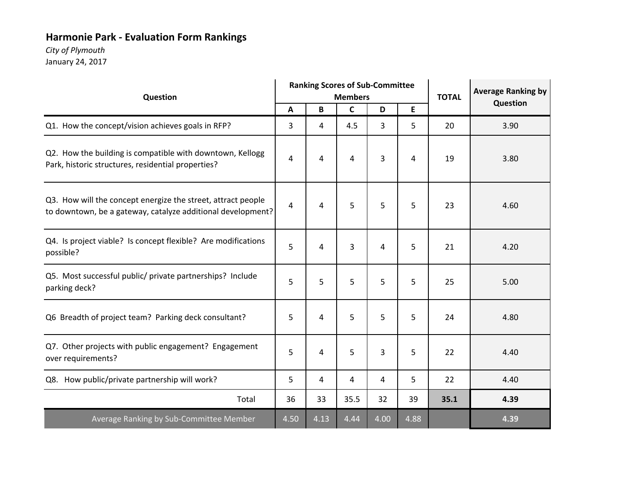# **Harmonie Park ‐ Evaluation Form Rankings**

### *City of Plymouth*

| <b>Ranking Scores of Sub-Committee</b><br><b>Members</b><br>Question                                                        |      |      | <b>TOTAL</b> |      | <b>Average Ranking by</b><br>Question |      |      |
|-----------------------------------------------------------------------------------------------------------------------------|------|------|--------------|------|---------------------------------------|------|------|
|                                                                                                                             | A    | B    | $\mathsf{C}$ | D    | E                                     |      |      |
| Q1. How the concept/vision achieves goals in RFP?                                                                           | 3    | 4    | 4.5          | 3    | 5                                     | 20   | 3.90 |
| Q2. How the building is compatible with downtown, Kellogg<br>Park, historic structures, residential properties?             | 4    | 4    | 4            | 3    | 4                                     | 19   | 3.80 |
| Q3. How will the concept energize the street, attract people<br>to downtown, be a gateway, catalyze additional development? | 4    | 4    | 5            | 5    | 5                                     | 23   | 4.60 |
| Q4. Is project viable? Is concept flexible? Are modifications<br>possible?                                                  | 5    | 4    | 3            | 4    | 5                                     | 21   | 4.20 |
| Q5. Most successful public/ private partnerships? Include<br>parking deck?                                                  | 5    | 5    | 5            | 5    | 5                                     | 25   | 5.00 |
| Q6 Breadth of project team? Parking deck consultant?                                                                        | 5    | 4    | 5            | 5    | 5                                     | 24   | 4.80 |
| Q7. Other projects with public engagement? Engagement<br>over requirements?                                                 | 5    | 4    | 5            | 3    | 5                                     | 22   | 4.40 |
| Q8. How public/private partnership will work?                                                                               | 5    | 4    | 4            | 4    | 5                                     | 22   | 4.40 |
| Total                                                                                                                       | 36   | 33   | 35.5         | 32   | 39                                    | 35.1 | 4.39 |
| Average Ranking by Sub-Committee Member                                                                                     | 4.50 | 4.13 | 4.44         | 4.00 | 4.88                                  |      | 4.39 |